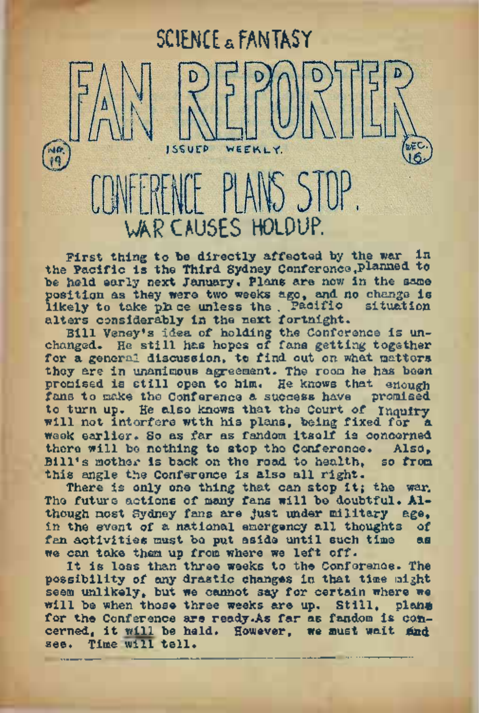# AR CAUSES HOLDUP.

**ISSUEP** 

**SCIENCE & FANTASY**

WEEKLY.

First thing to be directly affected by the war in the Pacific is the Third Sydney Conference, planned to be held early next January. Plans are now in the same position as they were two weeks ago, and no change is<br>likely to take phone unless the Pacific situation likely to take phice unless the . Pacific alters considerably in the next fortnight.

Bill Veney's idea of holding the Conference is unchanged. He still has hopes of fans getting together for a general discussion, to find out on what matters they are in unanimous agreement. The room he has been promised is still open to him. He knows that enough fans to make the Conference a success have promised fans to make the Conference a success have to turn up. He also knows that the Court of Inquirywill not intorfere wtth his plans, being fixed for a week earlier. So as far as fandom itself is concerned there will be nothing to stop the Conference. Also,<br>Bill's mother is back on the road to benith, so from  $B111's motion is back on the road to health.$ this angle the Conference is also all right.

There is only one thing that can stop it; the war. The future actions of many fans will be doubtful. Although most Sydney fans are just under military age, in the event of a national emergency all thoughts of fan activities must be put aside until such time we can take them up from where we left off.

It is less than three weeks to the Conference. The possibility of any drastic changes in that time might seem unlikely, but we cannot say for certain where we will be when those three weeks are up. Still, plane for the Conference are ready.As far as fandom is concerned, it will be held. However, we must wait find see. Time will tell.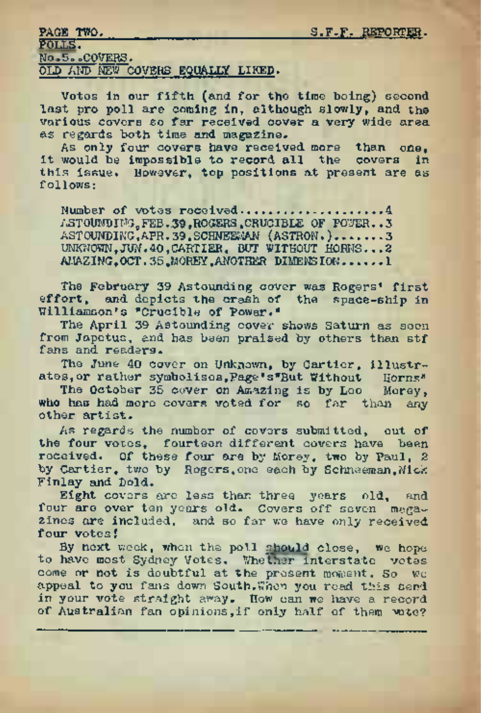| PAGE TWO.                         | S.F.F. REPORTER. |
|-----------------------------------|------------------|
| POLLS.                            |                  |
| No.5. COVERS.                     |                  |
| OLD AND NEW COVERS EQUALLY LIKED. |                  |

Votes in our fifth (and for the time being) second last pro poll are coming in, although slowly, and the various covers so far received cover a very wide area as regards both time and magazine.

As only four covers have received more than one. it would be impossible to record all the covers in this issue. However, top positions at present are as follows:

Number of votes received......... ..............................4 ASTOUNDING, FEB.39,ROGERS .CRUCIBLE OF POWER..3 ASTOUNDING.APR. 39. SCHNEEMAN (ASTRON.).......3 UNKNOWN,JUN.40,CARTIER, BUT WITHOUT HORNS...<sup>2</sup> AMAZING,OCT.35,MOREY,ANOTHER DIMENSION......1

The February <sup>39</sup> Astounding cover was Rogers' first effort, and depicts the crash of the space-ship in Williamson's "Crucible of Power."

The April 39 Astounding cover shows Saturn as seen from Japetus, and has been praised by others than stf fans and readers.

The June <sup>40</sup> cover on Unknown, by Cartier, illustrates, or rather symbolises, Page's\*But Without

The October 35 cover on Amazing is by Leo Morey, who has had more covers voted for so far than any other artist.

As regards the number of covers submitted, out of the four votes, fourteen different covers have been received. Of these four are by Morey, two by Paul, 2 by Cartier, two by Rogers, one each by Schneeman. Mick Finlay and Dold.

Eight covers are less than three years old, and four are over ten years old. Covers off seven magazines are included, and so far we have only received four votes!

By next week, when the poll should close, we hope to have most Sydney Votes. WheTher interstate votes come or not is doubtful at the present moment. So we appeal to you fans down South.When you read this send in your vote straight away. How can we have a record of Australian fan opinions, if only half of them wote?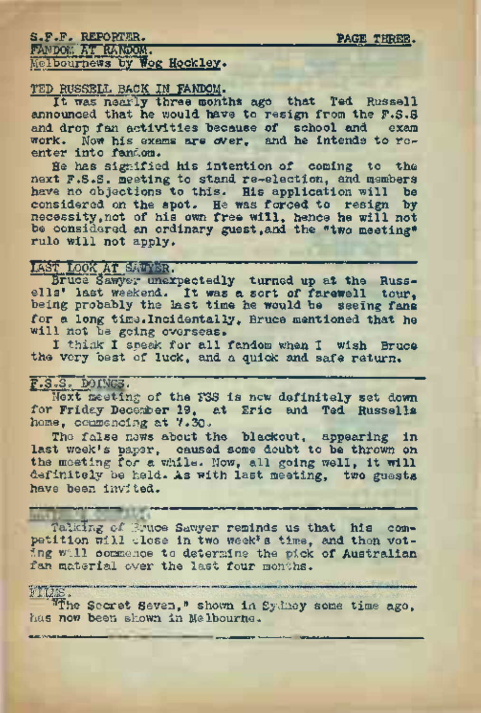## S.F.F. REPORTER. PAGE THREE. FANDOM AT RANDOM. Melbournews by Wog Hockley.

## TED RUSSELL BACK IN FANDOM.

It was nearly three months ago that Ted. Russell announced that he would have to resign from the F.S.S. and drop fan activities because of school and exam work. Now his exams are over, and he intends to reenter into fandom.

He has signified his intention of coming to the next F.S.S. meeting to stand re-election, and members have no objections to this. His application will be considered on the spot. He was forced to resign by necessity,not of his own free will, hence he will not be considered an ordinary guest,and the "two meeting" rule will not apply.

## LAST LOOK AT SATYER.

Bruce Sawyer unexpectedly turned up at the Russells' last weekend. It was a sort of farewell tour, being probably the last time he would be seeing fans for a long time. Incidentally, Bruce mentioned that he will not be going overseas.

I think I speak for all fandom when I wish Bruce the very best of luck, and a quick and safe return.

### F.S.S. DOINGS.

Next meeting of the FSS is new definitely set down for Friday December 19, at Eric and Ted Russells home, commencing at 7.30.

The false news about the blackout, appearing in last week's paper, caused some doubt to be thrown on the meeting for a while. Now, all going well, it will definitely be held. As with last meeting, two guests have been invited.

Talking of Bruce Sawyer reminds us that his competition will close in two week\*s time, and then voting will commence to determine the pick of Australian fan material over the last four months.

<sup>4</sup>'^The Secret Seven," shown in Sydney some time ago, has *now* been shown in Melbourne.